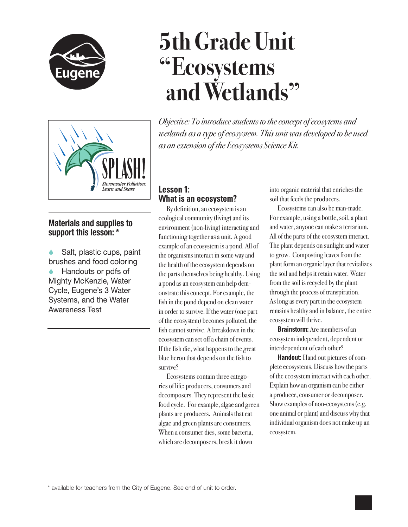

# **5th Grade Unit "Ecosystems and Wetlands"**



# **Materials and supplies to support this lesson: \***

 Salt, plastic cups, paint brushes and food coloring Handouts or pdfs of Mighty McKenzie, Water Cycle, Eugene's 3 Water Systems, and the Water Awareness Test

*Objective: To introduce students to the concept of ecosytems and wetlands as a type of ecosystem. This unit was developed to be used as an extension of the Ecosystems Science Kit.*

# **Lesson 1: What is an ecosystem?**

By definition, an ecosystem is an ecological community (living) and its environment (non-living) interacting and functioning together as a unit. A good example of an ecosystem is a pond. All of the organisms interact in some way and the health of the ecosystem depends on the parts themselves being healthy. Using a pond as an ecosystem can help demonstrate this concept. For example, the fish in the pond depend on clean water in order to survive. If the water (one part of the ecosystem) becomes polluted, the fish cannot survive. A breakdown in the ecosystem can set off a chain of events. If the fish die, what happens to the great blue heron that depends on the fish to survive?

Ecosystems contain three categories of life: producers, consumers and decomposers. They represent the basic food cycle. For example, algae and green plants are producers. Animals that eat algae and green plants are consumers. When a consumer dies, some bacteria, which are decomposers, break it down

into organic material that enriches the soil that feeds the producers.

Ecosystems can also be man-made. For example, using a bottle, soil, a plant and water, anyone can make a terrarium. All of the parts of the ecosystem interact. The plant depends on sunlight and water to grow. Composting leaves from the plant form an organic layer that revitalizes the soil and helps it retain water. Water from the soil is recycled by the plant through the process of transpiration. As long as every part in the ecosystem remains healthy and in balance, the entire ecosystem will thrive.

**Brainstorm:** Are members of an ecosystem independent, dependent or interdependent of each other?

**Handout:** Hand out pictures of complete ecosystems. Discuss how the parts of the ecosystem interact with each other. Explain how an organism can be either a producer, consumer or decomposer. Show examples of non-ecosystems (e.g. one animal or plant) and discuss why that individual organism does not make up an ecosystem.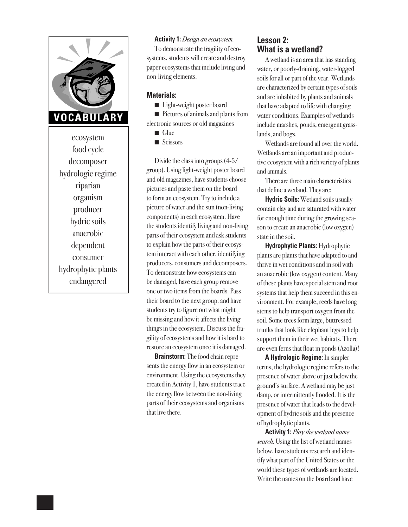

ecosystem food cycle decomposer hydrologic regime riparian organism producer hydric soils anaerobic dependent consumer hydrophytic plants endangered

#### **Activity 1:** *Design an ecosystem.*

To demonstrate the fragility of ecosystems, students will create and destroy paper ecosystems that include living and non-living elements.

#### **Materials:**

■ Light-weight poster board

■ Pictures of animals and plants from electronic sources or old magazines

 $\Box$  Glue

 $\blacksquare$  Scissors

Divide the class into groups (4-5/ group). Using light-weight poster board and old magazines, have students choose pictures and paste them on the board to form an ecosystem. Try to include a picture of water and the sun (non-living components) in each ecosystem. Have the students identify living and non-living parts of their ecosystem and ask students to explain how the parts of their ecosystem interact with each other, identifying producers, consumers and decomposers. To demonstrate how ecosystems can be damaged, have each group remove one or two items from the boards. Pass their board to the next group. and have students try to figure out what might be missing and how it affects the living things in the ecosystem. Discuss the fragility of ecosystems and how it is hard to restore an ecosystem once it is damaged.

**Brainstorm:** The food chain represents the energy flow in an ecosystem or environment. Using the ecosystems they created in Activity 1, have students trace the energy flow between the non-living parts of their ecosystems and organisms that live there.

## **Lesson 2: What is a wetland?**

A wetland is an area that has standing water, or poorly-draining, water-logged soils for all or part of the year. Wetlands are characterized by certain types of soils and are inhabited by plants and animals that have adapted to life with changing water conditions. Examples of wetlands include marshes, ponds, emergent grasslands, and bogs.

Wetlands are found all over the world. Wetlands are an important and productive ecosystem with a rich variety of plants and animals.

There are three main characteristics that define a wetland. They are:

**Hydric Soils:** Wetland soils usually contain clay and are saturated with water for enough time during the growing season to create an anaerobic (low oxygen) state in the soil.

**Hydrophytic Plants:** Hydrophytic plants are plants that have adapted to and thrive in wet conditions and in soil with an anaerobic (low oxygen) content. Many of these plants have special stem and root systems that help them succeed in this environment. For example, reeds have long stems to help transport oxygen from the soil. Some trees form large, buttressed trunks that look like elephant legs to help support them in their wet habitats. There are even ferns that float in ponds (Azolla)!

**A Hydrologic Regime:** In simpler terms, the hydrologic regime refers to the presence of water above or just below the ground's surface. A wetland may be just damp, or intermittently flooded. It is the presence of water that leads to the development of hydric soils and the presence of hydrophytic plants.

**Activity 1:** *Play the wetland name search.* Using the list of wetland names below, have students research and identify what part of the United States or the world these types of wetlands are located. Write the names on the board and have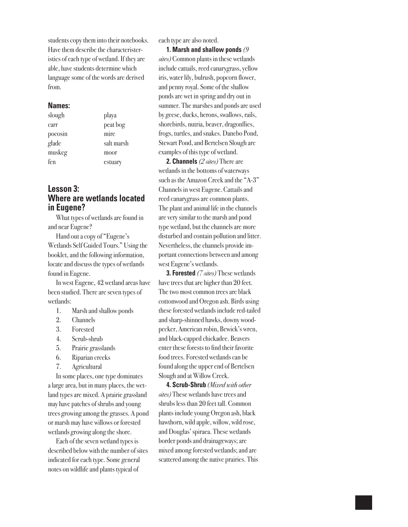students copy them into their notebooks. Have them describe the characteristeristics of each type of wetland. If they are able, have students determine which language some of the words are derived from.

#### **Names:**

| slough  | playa      |
|---------|------------|
| carr    | peat bog   |
| pocosin | mire       |
| glade   | salt marsh |
| muskeg  | moor       |
| fen     | estuary    |
|         |            |

## **Lesson 3: Where are wetlands located in Eugene?**

What types of wetlands are found in and near Eugene?

Hand out a copy of "Eugene's Wetlands Self Guided Tours." Using the booklet, and the following information, locate and discuss the types of wetlands found in Eugene.

In west Eugene, 42 wetland areas have been studied. There are seven types of wetlands:

- 1. Marsh and shallow ponds
- 2. Channels
- 3. Forested
- 4. Scrub-shrub
- 5. Prairie grasslands
- 6. Riparian creeks
- 7. Agricultural

In some places, one type dominates a large area, but in many places, the wetland types are mixed. A prairie grassland may have patches of shrubs and young trees growing among the grasses. A pond or marsh may have willows or forested wetlands growing along the shore.

Each of the seven wetland types is described below with the number of sites indicated for each type. Some general notes on wildlife and plants typical of

each type are also noted.

**1. Marsh and shallow ponds** *(9 sites)* Common plants in these wetlands include cattails, reed canarygrass, yellow iris, water lily, bulrush, popcorn flower, and penny royal. Some of the shallow ponds are wet in spring and dry out in summer. The marshes and ponds are used by geese, ducks, herons, swallows, rails, shorebirds, nutria, beaver, dragonflies, frogs, turtles, and snakes. Danebo Pond, Stewart Pond, and Bertelsen Slough are examples of this type of wetland.

**2. Channels** *(2 sites)* There are wetlands in the bottoms of waterways such as the Amazon Creek and the "A-3" Channels in west Eugene. Cattails and reed canarygrass are common plants. The plant and animal life in the channels are very similar to the marsh and pond type wetland, but the channels are more disturbed and contain pollution and litter. Nevertheless, the channels provide important connections between and among west Eugene's wetlands.

**3. Forested** *(7 sites)* These wetlands have trees that are higher than 20 feet. The two most common trees are black cottonwood and Oregon ash. Birds using these forested wetlands include red-tailed and sharp-shinned hawks, downy woodpecker, American robin, Bewick's wren, and black-capped chickadee. Beavers enter these forests to find their favorite food trees. Forested wetlands can be found along the upper end of Bertelsen Slough and at Willow Creek.

**4. Scrub-Shrub** *(Mixed with other sites)* These wetlands have trees and shrubs less than 20 feet tall. Common plants include young Oregon ash, black hawthorn, wild apple, willow, wild rose, and Douglas' spiraea. These wetlands border ponds and drainageways; are mixed among forested wetlands; and are scattered among the native prairies. This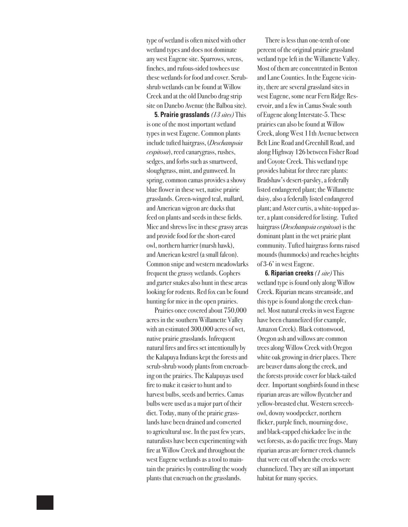type of wetland is often mixed with other wetland types and does not dominate any west Eugene site. Sparrows, wrens, finches, and rufous-sided towhees use these wetlands for food and cover. Scrubshrub wetlands can be found at Willow Creek and at the old Danebo drag strip site on Danebo Avenue (the Balboa site).

**5. Prairie grasslands** *(13 sites)* This is one of the most important wetland types in west Eugene. Common plants include tufted hairgrass, (*Deschampsia cespitosa*), reed canarygrass, rushes, sedges, and forbs such as smartweed, sloughgrass, mint, and gumweed. In spring, common camas provides a showy blue flower in these wet, native prairie grasslands. Green-winged teal, mallard, and American wigeon are ducks that feed on plants and seeds in these fields. Mice and shrews live in these grassy areas and provide food for the short-eared owl, northern harrier (marsh hawk), and American kestrel (a small falcon). Common snipe and western meadowlarks frequent the grassy wetlands. Gophers and garter snakes also hunt in these areas looking for rodents. Red fox can be found hunting for mice in the open prairies.

Prairies once covered about 750,000 acres in the southern Willamette Valley with an estimated 300,000 acres of wet, native prairie grasslands. Infrequent natural fires and fires set intentionally by the Kalapuya Indians kept the forests and scrub-shrub woody plants from encroaching on the prairies. The Kalapuyas used fire to make it easier to hunt and to harvest bulbs, seeds and berries. Camas bulbs were used as a major part of their diet. Today, many of the prairie grasslands have been drained and converted to agricultural use. In the past few years, naturalists have been experimenting with fire at Willow Creek and throughout the west Eugene wetlands as a tool to maintain the prairies by controlling the woody plants that encroach on the grasslands.

There is less than one-tenth of one percent of the original prairie grassland wetland type left in the Willamette Valley. Most of them are concentrated in Benton and Lane Counties. In the Eugene vicinity, there are several grassland sites in west Eugene, some near Fern Ridge Reservoir, and a few in Camas Swale south of Eugene along Interstate-5. These prairies can also be found at Willow Creek, along West 11th Avenue between Belt Line Road and Greenhill Road, and along Highway 126 between Fisher Road and Coyote Creek. This wetland type provides habitat for three rare plants: Bradshaw's desert-parsley, a federally listed endangered plant; the Willamette daisy, also a federally listed endangered plant; and Aster curtis, a white-topped aster, a plant considered for listing. Tufted hairgrass (*Deschampsia cespitosa*) is the dominant plant in the wet prairie plant community. Tufted hairgrass forms raised mounds (hummocks) and reaches heights of 3-6' in west Eugene.

**6. Riparian creeks** *(1 site)* This wetland type is found only along Willow Creek. Riparian means streamside, and this type is found along the creek channel. Most natural creeks in west Eugene have been channelized (for example, Amazon Creek). Black cottonwood, Oregon ash and willows are common trees along Willow Creek with Oregon white oak growing in drier places. There are beaver dams along the creek, and the forests provide cover for black-tailed deer. Important songbirds found in these riparian areas are willow flycatcher and yellow-breasted chat. Western screechowl, downy woodpecker, northern flicker, purple finch, mourning dove, and black-capped chickadee live in the wet forests, as do pacific tree frogs. Many riparian areas are former creek channels that were cut off when the creeks were channelized. They are still an important habitat for many species.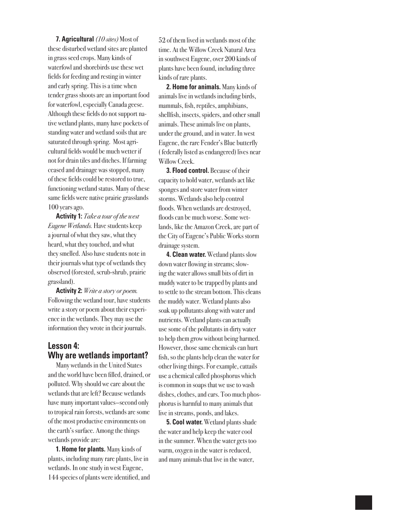**7. Agricultural** *(10 sites)* Most of these disturbed wetland sites are planted in grass seed crops. Many kinds of waterfowl and shorebirds use these wet fields for feeding and resting in winter and early spring. This is a time when tender grass shoots are an important food for waterfowl, especially Canada geese. Although these fields do not support native wetland plants, many have pockets of standing water and wetland soils that are saturated through spring. Most agricultural fields would be much wetter if not for drain tiles and ditches. If farming ceased and drainage was stopped, many of these fields could be restored to true, functioning wetland status. Many of these same fields were native prairie grasslands 100 years ago.

**Activity 1:** *Take a tour of the west Eugene Wetlands.* Have students keep a journal of what they saw, what they heard, what they touched, and what they smelled. Also have students note in their journals what type of wetlands they observed (forested, scrub-shrub, prairie grassland).

**Activity 2:** *Write a story or poem.*  Following the wetland tour, have students write a story or poem about their experience in the wetlands. They may use the information they wrote in their journals.

## **Lesson 4: Why are wetlands important?**

Many wetlands in the United States and the world have been filled, drained, or polluted. Why should we care about the wetlands that are left? Because wetlands have many important values—second only to tropical rain forests, wetlands are some of the most productive environments on the earth's surface. Among the things wetlands provide are:

**1. Home for plants.** Many kinds of plants, including many rare plants, live in wetlands. In one study in west Eugene, 144 species of plants were identified, and 52 of them lived in wetlands most of the time. At the Willow Creek Natural Area in southwest Eugene, over 200 kinds of plants have been found, including three kinds of rare plants.

**2. Home for animals.** Many kinds of animals live in wetlands including birds, mammals, fish, reptiles, amphibians, shellfish, insects, spiders, and other small animals. These animals live on plants, under the ground, and in water. In west Eugene, the rare Fender's Blue butterfly ( federally listed as endangered) lives near Willow Creek.

**3. Flood control.** Because of their capacity to hold water, wetlands act like sponges and store water from winter storms. Wetlands also help control floods. When wetlands are destroyed, floods can be much worse. Some wetlands, like the Amazon Creek, are part of the City of Eugene's Public Works storm drainage system.

**4. Clean water.** Wetland plants slow down water flowing in streams; slowing the water allows small bits of dirt in muddy water to be trapped by plants and to settle to the stream bottom. This cleans the muddy water. Wetland plants also soak up pollutants along with water and nutrients. Wetland plants can actually use some of the pollutants in dirty water to help them grow without being harmed. However, those same chemicals can hurt fish, so the plants help clean the water for other living things. For example, cattails use a chemical called phosphorus which is common in soaps that we use to wash dishes, clothes, and cars. Too much phosphorus is harmful to many animals that live in streams, ponds, and lakes.

**5. Cool water.** Wetland plants shade the water and help keep the water cool in the summer. When the water gets too warm, oxygen in the water is reduced, and many animals that live in the water,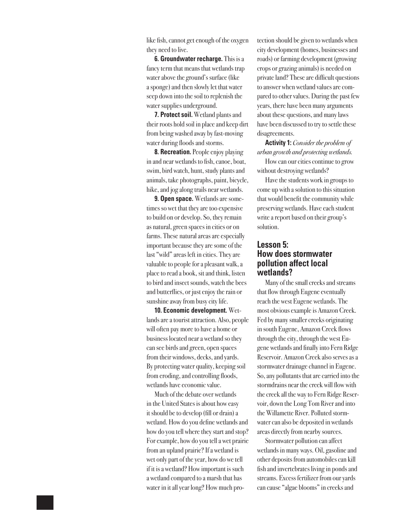like fish, cannot get enough of the oxygen they need to live.

**6. Groundwater recharge.** This is a fancy term that means that wetlands trap water above the ground's surface (like a sponge) and then slowly let that water seep down into the soil to replenish the water supplies underground.

**7. Protect soil.** Wetland plants and their roots hold soil in place and keep dirt from being washed away by fast-moving water during floods and storms.

**8. Recreation.** People enjoy playing in and near wetlands to fish, canoe, boat, swim, bird watch, hunt, study plants and animals, take photographs, paint, bicycle, hike, and jog along trails near wetlands.

**9. Open space.** Wetlands are sometimes so wet that they are too expensive to build on or develop. So, they remain as natural, green spaces in cities or on farms. These natural areas are especially important because they are some of the last "wild" areas left in cities. They are valuable to people for a pleasant walk, a place to read a book, sit and think, listen to bird and insect sounds, watch the bees and butterflies, or just enjoy the rain or sunshine away from busy city life.

**10. Economic development.** Wetlands are a tourist attraction. Also, people will often pay more to have a home or business located near a wetland so they can see birds and green, open spaces from their windows, decks, and yards. By protecting water quality, keeping soil from eroding, and controlling floods, wetlands have economic value.

Much of the debate over wetlands in the United States is about how easy it should be to develop (fill or drain) a wetland. How do you define wetlands and how do you tell where they start and stop? For example, how do you tell a wet prairie from an upland prairie? If a wetland is wet only part of the year, how do we tell if it is a wetland? How important is such a wetland compared to a marsh that has water in it all year long? How much protection should be given to wetlands when city development (homes, businesses and roads) or farming development (growing crops or grazing animals) is needed on private land? These are difficult questions to answer when wetland values are compared to other values. During the past few years, there have been many arguments about these questions, and many laws have been discussed to try to settle these disagreements.

**Activity 1:** *Consider the problem of urban growth and protecting wetlands.* How can our cities continue to grow

without destroying wetlands?

Have the students work in groups to come up with a solution to this situation that would benefit the community while preserving wetlands. Have each student write a report based on their group's solution.

## **Lesson 5: How does stormwater pollution affect local wetlands?**

Many of the small creeks and streams that flow through Eugene eventually reach the west Eugene wetlands. The most obvious example is Amazon Creek. Fed by many smaller creeks originating in south Eugene, Amazon Creek flows through the city, through the west Eugene wetlands and finally into Fern Ridge Reservoir. Amazon Creek also serves as a stormwater drainage channel in Eugene. So, any pollutants that are carried into the stormdrains near the creek will flow with the creek all the way to Fern Ridge Reservoir, down the Long Tom River and into the Willamette River. Polluted stormwater can also be deposited in wetlands areas directly from nearby sources.

Stormwater pollution can affect wetlands in many ways. Oil, gasoline and other deposits from automobiles can kill fish and invertebrates living in ponds and streams. Excess fertilizer from our yards can cause "algae blooms" in creeks and